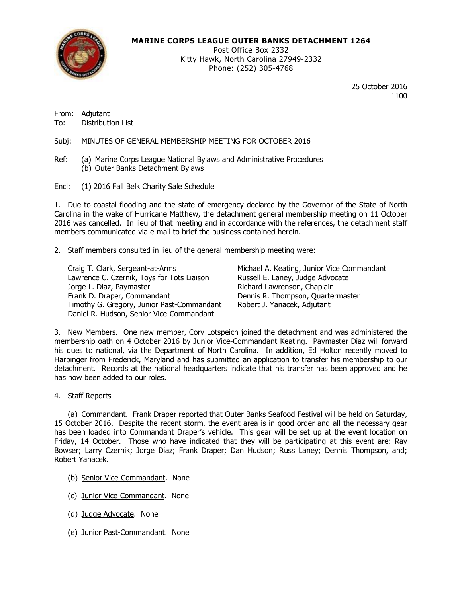

## **MARINE CORPS LEAGUE OUTER BANKS DETACHMENT 1264**

Post Office Box 2332 Kitty Hawk, North Carolina 27949-2332 Phone: (252) 305-4768

> 25 October 2016 1100

From: Adjutant To: Distribution List

Subj: MINUTES OF GENERAL MEMBERSHIP MEETING FOR OCTOBER 2016

- Ref: (a) Marine Corps League National Bylaws and Administrative Procedures (b) Outer Banks Detachment Bylaws
- Encl: (1) 2016 Fall Belk Charity Sale Schedule

1. Due to coastal flooding and the state of emergency declared by the Governor of the State of North Carolina in the wake of Hurricane Matthew, the detachment general membership meeting on 11 October 2016 was cancelled. In lieu of that meeting and in accordance with the references, the detachment staff members communicated via e-mail to brief the business contained herein.

2. Staff members consulted in lieu of the general membership meeting were:

Craig T. Clark, Sergeant-at-Arms Michael A. Keating, Junior Vice Commandant Lawrence C. Czernik, Toys for Tots Liaison Russell E. Laney, Judge Advocate Jorge L. Diaz, Paymaster **Richard Lawrenson, Chaplain** Frank D. Draper, Commandant **Dennis R. Thompson, Quartermaster** Timothy G. Gregory, Junior Past-Commandant Robert J. Yanacek, Adjutant Daniel R. Hudson, Senior Vice-Commandant

3. New Members. One new member, Cory Lotspeich joined the detachment and was administered the membership oath on 4 October 2016 by Junior Vice-Commandant Keating. Paymaster Diaz will forward his dues to national, via the Department of North Carolina. In addition, Ed Holton recently moved to Harbinger from Frederick, Maryland and has submitted an application to transfer his membership to our detachment. Records at the national headquarters indicate that his transfer has been approved and he has now been added to our roles.

4. Staff Reports

(a) Commandant. Frank Draper reported that Outer Banks Seafood Festival will be held on Saturday, 15 October 2016. Despite the recent storm, the event area is in good order and all the necessary gear has been loaded into Commandant Draper's vehicle. This gear will be set up at the event location on Friday, 14 October. Those who have indicated that they will be participating at this event are: Ray Bowser; Larry Czernik; Jorge Diaz; Frank Draper; Dan Hudson; Russ Laney; Dennis Thompson, and; Robert Yanacek.

- (b) Senior Vice-Commandant. None
- (c) Junior Vice-Commandant. None
- (d) Judge Advocate. None
- (e) Junior Past-Commandant. None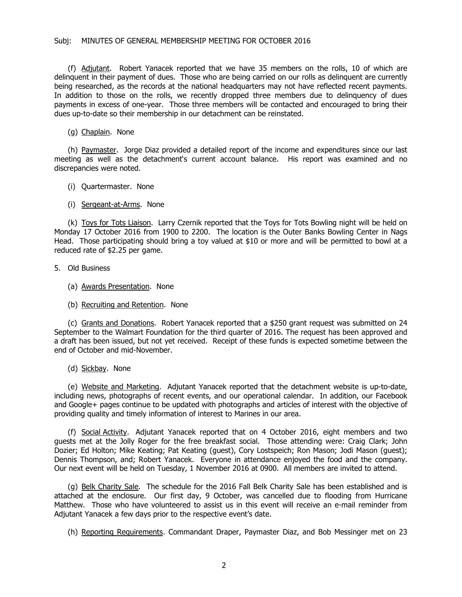## Subj: MINUTES OF GENERAL MEMBERSHIP MEETING FOR OCTOBER 2016

(f) Adjutant. Robert Yanacek reported that we have 35 members on the rolls, 10 of which are delinquent in their payment of dues. Those who are being carried on our rolls as delinquent are currently being researched, as the records at the national headquarters may not have reflected recent payments. In addition to those on the rolls, we recently dropped three members due to delinquency of dues payments in excess of one-year. Those three members will be contacted and encouraged to bring their dues up-to-date so their membership in our detachment can be reinstated.

(g) Chaplain. None

(h) Paymaster. Jorge Diaz provided a detailed report of the income and expenditures since our last meeting as well as the detachment's current account balance. His report was examined and no discrepancies were noted.

- (i) Quartermaster. None
- (i) Sergeant-at-Arms. None

(k) Toys for Tots Liaison. Larry Czernik reported that the Toys for Tots Bowling night will be held on Monday 17 October 2016 from 1900 to 2200. The location is the Outer Banks Bowling Center in Nags Head. Those participating should bring a toy valued at \$10 or more and will be permitted to bowl at a reduced rate of \$2.25 per game.

- 5. Old Business
	- (a) Awards Presentation. None
	- (b) Recruiting and Retention. None

(c) Grants and Donations. Robert Yanacek reported that a \$250 grant request was submitted on 24 September to the Walmart Foundation for the third quarter of 2016. The request has been approved and a draft has been issued, but not yet received. Receipt of these funds is expected sometime between the end of October and mid-November.

(d) Sickbay. None

(e) Website and Marketing. Adjutant Yanacek reported that the detachment website is up-to-date, including news, photographs of recent events, and our operational calendar. In addition, our Facebook and Google+ pages continue to be updated with photographs and articles of interest with the objective of providing quality and timely information of interest to Marines in our area.

(f) Social Activity. Adjutant Yanacek reported that on 4 October 2016, eight members and two guests met at the Jolly Roger for the free breakfast social. Those attending were: Craig Clark; John Dozier; Ed Holton; Mike Keating; Pat Keating (guest), Cory Lostspeich; Ron Mason; Jodi Mason (guest); Dennis Thompson, and; Robert Yanacek. Everyone in attendance enjoyed the food and the company. Our next event will be held on Tuesday, 1 November 2016 at 0900. All members are invited to attend.

(g) Belk Charity Sale. The schedule for the 2016 Fall Belk Charity Sale has been established and is attached at the enclosure. Our first day, 9 October, was cancelled due to flooding from Hurricane Matthew. Those who have volunteered to assist us in this event will receive an e-mail reminder from Adjutant Yanacek a few days prior to the respective event's date.

(h) Reporting Requirements. Commandant Draper, Paymaster Diaz, and Bob Messinger met on 23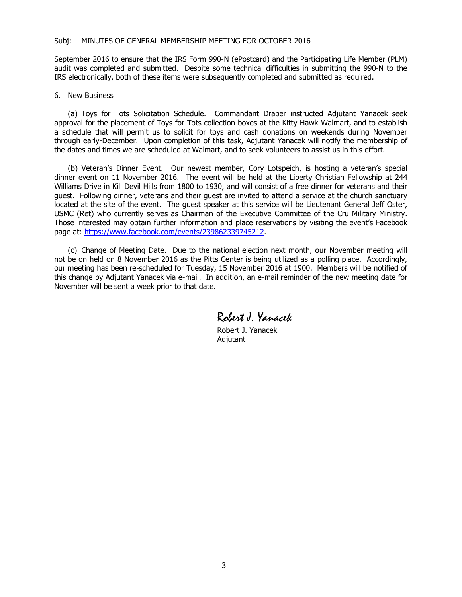September 2016 to ensure that the IRS Form 990-N (ePostcard) and the Participating Life Member (PLM) audit was completed and submitted. Despite some technical difficulties in submitting the 990-N to the IRS electronically, both of these items were subsequently completed and submitted as required.

## 6. New Business

(a) Toys for Tots Solicitation Schedule. Commandant Draper instructed Adjutant Yanacek seek approval for the placement of Toys for Tots collection boxes at the Kitty Hawk Walmart, and to establish a schedule that will permit us to solicit for toys and cash donations on weekends during November through early-December. Upon completion of this task, Adjutant Yanacek will notify the membership of the dates and times we are scheduled at Walmart, and to seek volunteers to assist us in this effort.

(b) Veteran's Dinner Event. Our newest member, Cory Lotspeich, is hosting a veteran's special dinner event on 11 November 2016. The event will be held at the Liberty Christian Fellowship at 244 Williams Drive in Kill Devil Hills from 1800 to 1930, and will consist of a free dinner for veterans and their guest. Following dinner, veterans and their guest are invited to attend a service at the church sanctuary located at the site of the event. The guest speaker at this service will be Lieutenant General Jeff Oster, USMC (Ret) who currently serves as Chairman of the Executive Committee of the Cru Military Ministry. Those interested may obtain further information and place reservations by visiting the event's Facebook page at: [https://www.facebook.com/events/2398623397](https://www.facebook.com/events/239862339745212)45212.

(c) Change of Meeting Date. Due to the national election next month, our November meeting will not be on held on 8 November 2016 as the Pitts Center is being utilized as a polling place. Accordingly, our meeting has been re-scheduled for Tuesday, 15 November 2016 at 1900. Members will be notified of this change by Adjutant Yanacek via e-mail. In addition, an e-mail reminder of the new meeting date for November will be sent a week prior to that date.

Robert J. Yanacek

Robert J. Yanacek Adjutant